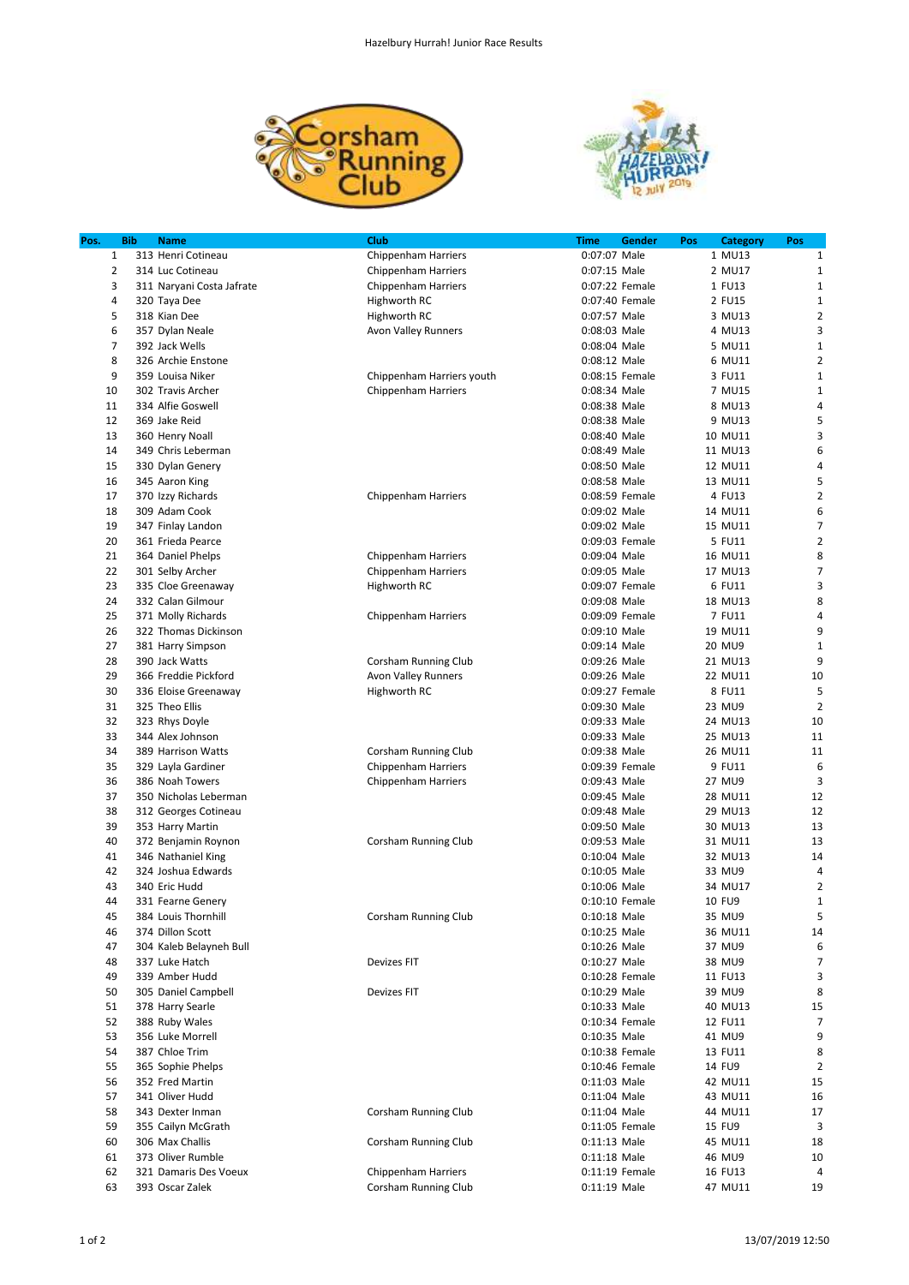



| Pos.           | <b>Bib</b> | <b>Name</b>                               | Club                       | Time                           | Gender | Pos | <b>Category</b>   | Pos            |
|----------------|------------|-------------------------------------------|----------------------------|--------------------------------|--------|-----|-------------------|----------------|
| 1              |            | 313 Henri Cotineau                        | <b>Chippenham Harriers</b> | 0:07:07 Male                   |        |     | 1 MU13            | $\mathbf{1}$   |
| 2              |            | 314 Luc Cotineau                          | <b>Chippenham Harriers</b> | 0:07:15 Male                   |        |     | 2 MU17            | $\mathbf{1}$   |
| 3              |            | 311 Naryani Costa Jafrate                 | <b>Chippenham Harriers</b> | 0:07:22 Female                 |        |     | 1 FU13            | $1\,$          |
| 4              |            | 320 Taya Dee                              | Highworth RC               | 0:07:40 Female                 |        |     | 2 FU15            | $1\,$          |
| 5              |            | 318 Kian Dee                              | Highworth RC               | 0:07:57 Male                   |        |     | 3 MU13            | $\overline{2}$ |
| 6              |            | 357 Dylan Neale                           | Avon Valley Runners        | 0:08:03 Male                   |        |     | 4 MU13            | 3              |
| $\overline{7}$ |            | 392 Jack Wells                            |                            | 0:08:04 Male                   |        |     | 5 MU11            | $\mathbf{1}$   |
| 8              |            | 326 Archie Enstone                        |                            | 0:08:12 Male                   |        |     | 6 MU11            | $\mathbf 2$    |
| 9              |            | 359 Louisa Niker                          | Chippenham Harriers youth  | 0:08:15 Female                 |        |     | 3 FU11            | $1\,$          |
| 10             |            | 302 Travis Archer                         | Chippenham Harriers        | 0:08:34 Male                   |        |     | 7 MU15            | $\mathbf{1}$   |
| 11             |            | 334 Alfie Goswell                         |                            | 0:08:38 Male                   |        |     | 8 MU13            | $\sqrt{4}$     |
| 12             |            | 369 Jake Reid                             |                            | 0:08:38 Male                   |        |     | 9 MU13            | 5              |
| 13             |            | 360 Henry Noall                           |                            | 0:08:40 Male                   |        |     | 10 MU11           | 3              |
| 14             |            | 349 Chris Leberman                        |                            | 0:08:49 Male                   |        |     | 11 MU13           | 6              |
| 15             |            | 330 Dylan Genery                          |                            | 0:08:50 Male                   |        |     | 12 MU11           | 4              |
| 16             |            | 345 Aaron King                            |                            | 0:08:58 Male                   |        |     | 13 MU11           | 5              |
| 17             |            | 370 Izzy Richards                         | <b>Chippenham Harriers</b> | 0:08:59 Female                 |        |     | 4 FU13            | $\overline{2}$ |
| 18             |            | 309 Adam Cook                             |                            | 0:09:02 Male                   |        |     | 14 MU11           | 6              |
| 19             |            | 347 Finlay Landon                         |                            | 0:09:02 Male                   |        |     | 15 MU11           | $\overline{7}$ |
| 20             |            | 361 Frieda Pearce                         |                            | 0:09:03 Female                 |        |     | 5 FU11            | $\overline{2}$ |
| 21             |            | 364 Daniel Phelps                         | <b>Chippenham Harriers</b> | 0:09:04 Male                   |        |     | 16 MU11           | 8              |
| 22             |            | 301 Selby Archer                          | Chippenham Harriers        | 0:09:05 Male                   |        |     | 17 MU13           | $\overline{7}$ |
| 23             |            | 335 Cloe Greenaway                        | Highworth RC               | 0:09:07 Female                 |        |     | 6 FU11            | 3              |
| 24             |            | 332 Calan Gilmour                         |                            | 0:09:08 Male                   |        |     | 18 MU13           | 8              |
| 25             |            | 371 Molly Richards                        | <b>Chippenham Harriers</b> | 0:09:09 Female                 |        |     | 7 FU11            | $\sqrt{4}$     |
| 26             |            | 322 Thomas Dickinson                      |                            | 0:09:10 Male                   |        |     | 19 MU11           | 9              |
| 27             |            | 381 Harry Simpson                         |                            | 0:09:14 Male                   |        |     | 20 MU9            | $\mathbf{1}$   |
| 28             |            | 390 Jack Watts                            | Corsham Running Club       | 0:09:26 Male                   |        |     | 21 MU13           | 9              |
| 29             |            | 366 Freddie Pickford                      | Avon Valley Runners        | 0:09:26 Male                   |        |     | 22 MU11           | 10             |
| 30             |            | 336 Eloise Greenaway                      | Highworth RC               | 0:09:27 Female                 |        |     | 8 FU11            | 5              |
| 31             |            | 325 Theo Ellis                            |                            | 0:09:30 Male                   |        |     | 23 MU9            | $\overline{2}$ |
| 32             |            | 323 Rhys Doyle                            |                            | 0:09:33 Male                   |        |     | 24 MU13           | 10             |
| 33             |            | 344 Alex Johnson                          |                            | 0:09:33 Male                   |        |     | 25 MU13           | 11             |
| 34             |            | 389 Harrison Watts                        | Corsham Running Club       | 0:09:38 Male                   |        |     | 26 MU11           | 11             |
| 35             |            | 329 Layla Gardiner                        | Chippenham Harriers        | 0:09:39 Female                 |        |     | 9 FU11            | 6              |
| 36             |            | 386 Noah Towers                           |                            | 0:09:43 Male                   |        |     | 27 MU9            | 3              |
| 37             |            | 350 Nicholas Leberman                     | <b>Chippenham Harriers</b> | 0:09:45 Male                   |        |     | 28 MU11           | 12             |
| 38             |            | 312 Georges Cotineau                      |                            | 0:09:48 Male                   |        |     | 29 MU13           | 12             |
| 39             |            | 353 Harry Martin                          |                            | 0:09:50 Male                   |        |     | 30 MU13           | 13             |
| 40             |            | 372 Benjamin Roynon                       | Corsham Running Club       | 0:09:53 Male                   |        |     | 31 MU11           | 13             |
| 41             |            | 346 Nathaniel King                        |                            | 0:10:04 Male                   |        |     | 32 MU13           | 14             |
| 42             |            | 324 Joshua Edwards                        |                            | 0:10:05 Male                   |        |     | 33 MU9            | 4              |
| 43             |            | 340 Eric Hudd                             |                            | 0:10:06 Male                   |        |     | 34 MU17           | 2              |
| 44             |            | 331 Fearne Genery                         |                            |                                |        |     | 10 FU9            | $\mathbf{1}$   |
| 45             |            | 384 Louis Thornhill                       |                            | 0:10:10 Female<br>0:10:18 Male |        |     | 35 MU9            | 5              |
|                |            | 374 Dillon Scott                          | Corsham Running Club       | 0:10:25 Male                   |        |     |                   | 14             |
| 46<br>47       |            |                                           |                            | 0:10:26 Male                   |        |     | 36 MU11<br>37 MU9 | 6              |
|                |            | 304 Kaleb Belayneh Bull<br>337 Luke Hatch |                            |                                |        |     |                   | $\overline{7}$ |
| 48             |            |                                           | <b>Devizes FIT</b>         | 0:10:27 Male                   |        |     | 38 MU9            |                |
| 49             |            | 339 Amber Hudd                            |                            | 0:10:28 Female                 |        |     | 11 FU13           | 3<br>8         |
| 50             |            | 305 Daniel Campbell                       | <b>Devizes FIT</b>         | 0:10:29 Male                   |        |     | 39 MU9            |                |
| 51             |            | 378 Harry Searle                          |                            | 0:10:33 Male                   |        |     | 40 MU13           | 15             |
| 52             |            | 388 Ruby Wales                            |                            | 0:10:34 Female                 |        |     | 12 FU11           | 7              |
| 53             |            | 356 Luke Morrell                          |                            | 0:10:35 Male                   |        |     | 41 MU9            | 9              |
| 54             |            | 387 Chloe Trim                            |                            | 0:10:38 Female                 |        |     | 13 FU11           | 8              |
| 55             |            | 365 Sophie Phelps                         |                            | 0:10:46 Female                 |        |     | 14 FU9            | $\overline{2}$ |
| 56             |            | 352 Fred Martin                           |                            | 0:11:03 Male                   |        |     | 42 MU11           | 15             |
| 57             |            | 341 Oliver Hudd                           |                            | 0:11:04 Male                   |        |     | 43 MU11           | 16             |
| 58             |            | 343 Dexter Inman                          | Corsham Running Club       | 0:11:04 Male                   |        |     | 44 MU11           | 17             |
| 59             |            | 355 Cailyn McGrath                        |                            | 0:11:05 Female                 |        |     | 15 FU9            | 3              |
| 60             |            | 306 Max Challis                           | Corsham Running Club       | $0:11:13$ Male                 |        |     | 45 MU11           | 18             |
| 61             |            | 373 Oliver Rumble                         |                            | $0:11:18$ Male                 |        |     | 46 MU9            | 10             |
| 62             |            | 321 Damaris Des Voeux                     | Chippenham Harriers        | 0:11:19 Female                 |        |     | 16 FU13           | 4              |
| 63             |            | 393 Oscar Zalek                           | Corsham Running Club       | 0:11:19 Male                   |        |     | 47 MU11           | 19             |